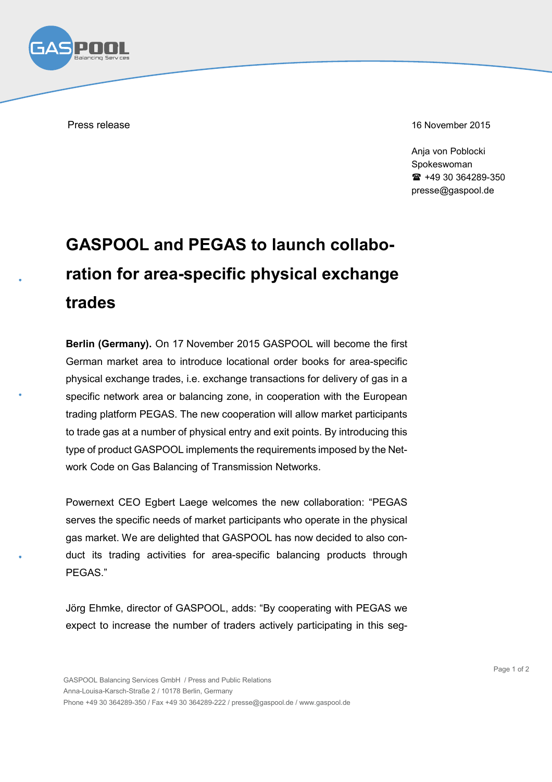

Press release 16 November 2015

Anja von Poblocki Spokeswoman +49 30 364289-350 presse@gaspool.de

## **GASPOOL and PEGAS to launch collaboration for area-specific physical exchange trades**

**Berlin (Germany).** On 17 November 2015 GASPOOL will become the first German market area to introduce locational order books for area-specific physical exchange trades, i.e. exchange transactions for delivery of gas in a specific network area or balancing zone, in cooperation with the European trading platform PEGAS. The new cooperation will allow market participants to trade gas at a number of physical entry and exit points. By introducing this type of product GASPOOL implements the requirements imposed by the Network Code on Gas Balancing of Transmission Networks.

Powernext CEO Egbert Laege welcomes the new collaboration: "PEGAS serves the specific needs of market participants who operate in the physical gas market. We are delighted that GASPOOL has now decided to also conduct its trading activities for area-specific balancing products through PEGAS."

Jörg Ehmke, director of GASPOOL, adds: "By cooperating with PEGAS we expect to increase the number of traders actively participating in this seg